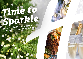# *Time to [Sparkle](https://haydock.hichristmas.co.uk) Book your Christmas Party and Events*

*at Holiday Inn® Haydock M6, Jct. 23*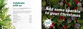Why not join us at the Holiday Inn Haydock M6, Jct. 23 to celebrate Christmas 2022 in style?

Whether you're looking to organise a spectacular Christmas party for colleagues, a festive night out for friends or a celebratory feast with loved ones, we've got the perfect package for you.

### *Celebrate with us*



2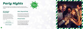#### *All-Inclusive Party Night*

**Fridays: 25th November,** 2<sup>nd</sup>, 9<sup>th</sup> and 16<sup>th</sup> December & 20<sup>th</sup> January

Our all-inclusive party nights include everything you need for the perfect festive night out! Enjoy a three-course meal, disco and drinks throughout the evening. The bar will offer you plenty of choice from house wine, house spirits & mixers, draught lager/beer, selected alcopops and soft drinks all included in the price. The all-inclusive bar is available from 8pm - 12am

> Saturdays: 26<sup>th</sup> November, **3rd, 10th & 17th December**

#### **£49.95 per adult**

# *[Party Nights](https://haydock.hichristmas.co.uk)*

Our festive party nights can accommodate up to 220 people. All-Inclusive parties commence at 7.30pm, dinner served 8.00pm, last orders at mid-night and carriages at 12.30am.



#### *Meet, Stay and Party*

Work, rest and play! Join us throughout November, December or January with your colleagues for a full-day meeting, your choice of celebration in the evening, overnight accommodation and breakfast the following day. Plan your end-of-year meeting today! Please enquire for availability and pricing.

#### *Private Parties*

From intimate family gatherings to large corporate parties, we have functions rooms available to hire based on your requirements. Please contact us so we can help you plan your perfect celebration. Minimum numbers apply. Prices available upon request. Pre-booking only and subject to availability. Dates sell fast so enquire today!

4

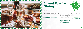### *[Casual Festive](https://haydock.hichristmas.co.uk) Dining*

Whether you're looking to organise a spectacular Christmas dinner for colleagues, a festive lunch for friends or a celebratory feast with loved ones, we've got the perfect event for you.

#### *Festive Lunch*

Our festive lunches are perfect for any occasion, whether you want to spend time with family, friends or work colleagues. Includes a glass of fizz upon arrival and a three-course festive meal.

**Available seven days a week. (subject to availability). Pre-booking essential. Call 03333 209 329 opt 4 to book.**

#### *Pizza and Prosecco*

Pizza and Prosecco = Perfect! Book today so you can enjoy a pizza and a glass of Prosecco each in the relaxed atmosphere of our Open Lobby.

#### **£14.95 per person**

#### *Festive Fizz Afternoon Tea*

Enjoy a festive afternoon tea, including tea & coffee and a refreshing glass of fizz! The perfect treat for anyone to enjoy. It also includes a selection of sandwiches, scones with cream & jam and a mouthwatering slice of seasonal cake.



#### **£18.00 per person**



**From £17.95 per person**

**Available every Tuesday and Thursday throughout December at 12pm, 12:30pm and 1pm. Pre-booking essential, available to book online.** 

**Fridays and Sundays throughout December at 5pm, 6pm and 6:30pm. Available to book online.**

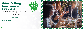### *[Adult's Only](https://haydock.hichristmas.co.uk)  New Year's Eve Gala*

We have an amazing night planned so you can see in 2023 in style! Let us welcome you with a festive cocktail upon arrival before making your way to the function room, where you will be served an amazing four-course meal with tea and coffee to finish. The night truly begins with a disco until 2am so you can dance the night away. Enjoy a midnight munchie and a glass of Prosecco once the clock strikes 12. 18+ only.

**£69.95 per adult**

**Saturday 31st December** 

#### *Menu to follow*



8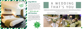We are excited to share with you the amazing gift vouchers we now have available at Holiday Inn Haydock M6, Jct 23 From delightful afternoon teas to overnight break packages, there's a gift for everyone. Give the gift of travel this year!

### *Gift Vouchers*  $-$  Up to 20% off  $-$



Christmas is such a wonderful time of year, why not consider having a festive wedding celebration? Our weddings are [available all year round and our fantastic wedding team will work with you to ensure you get everything you desire to](http://www.hihaydockm6j23hotel.co.uk/weddings)  make your special day a dream come true.

#### Contact us to start creating a wedding that's you, or click to find out more about our weddings





## A WEDDING THAT'S YOU

### *Stay With Us*

Why not make a night of it and enjoy our special Christmas rates? Room types include standard double, family and twin. Take advantage of up to 20% off our best flexible, bed and breakfast rate. No deposit required and can be cancelled free of charge up to 48 hours prior to arrival.